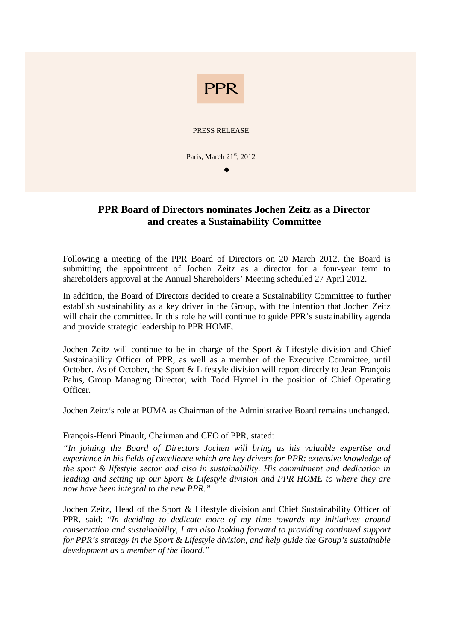

# **PPR Board of Directors nominates Jochen Zeitz as a Director and creates a Sustainability Committee**

Following a meeting of the PPR Board of Directors on 20 March 2012, the Board is submitting the appointment of Jochen Zeitz as a director for a four-year term to shareholders approval at the Annual Shareholders' Meeting scheduled 27 April 2012.

In addition, the Board of Directors decided to create a Sustainability Committee to further establish sustainability as a key driver in the Group, with the intention that Jochen Zeitz will chair the committee. In this role he will continue to guide PPR's sustainability agenda and provide strategic leadership to PPR HOME.

Jochen Zeitz will continue to be in charge of the Sport & Lifestyle division and Chief Sustainability Officer of PPR, as well as a member of the Executive Committee, until October. As of October, the Sport & Lifestyle division will report directly to Jean-François Palus, Group Managing Director, with Todd Hymel in the position of Chief Operating Officer.

Jochen Zeitz's role at PUMA as Chairman of the Administrative Board remains unchanged.

# François-Henri Pinault, Chairman and CEO of PPR, stated:

*"In joining the Board of Directors Jochen will bring us his valuable expertise and experience in his fields of excellence which are key drivers for PPR: extensive knowledge of the sport & lifestyle sector and also in sustainability. His commitment and dedication in leading and setting up our Sport & Lifestyle division and PPR HOME to where they are now have been integral to the new PPR."* 

Jochen Zeitz, Head of the Sport & Lifestyle division and Chief Sustainability Officer of PPR, said: "*In deciding to dedicate more of my time towards my initiatives around conservation and sustainability, I am also looking forward to providing continued support for PPR's strategy in the Sport & Lifestyle division, and help guide the Group's sustainable development as a member of the Board."*